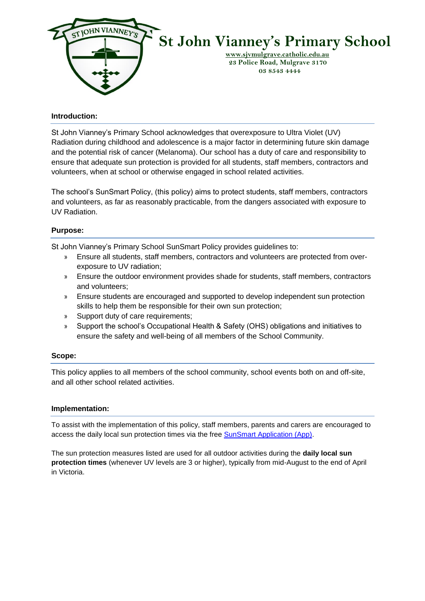

#### **Introduction:**

St John Vianney's Primary School acknowledges that overexposure to Ultra Violet (UV) Radiation during childhood and adolescence is a major factor in determining future skin damage and the potential risk of cancer (Melanoma). Our school has a duty of care and responsibility to ensure that adequate sun protection is provided for all students, staff members, contractors and volunteers, when at school or otherwise engaged in school related activities.

The school's SunSmart Policy, (this policy) aims to protect students, staff members, contractors and volunteers, as far as reasonably practicable, from the dangers associated with exposure to UV Radiation.

### **Purpose:**

St John Vianney's Primary School SunSmart Policy provides guidelines to:

- » Ensure all students, staff members, contractors and volunteers are protected from overexposure to UV radiation;
- » Ensure the outdoor environment provides shade for students, staff members, contractors and volunteers;
- » Ensure students are encouraged and supported to develop independent sun protection skills to help them be responsible for their own sun protection;
- » Support duty of care requirements;
- » Support the school's Occupational Health & Safety (OHS) obligations and initiatives to ensure the safety and well-being of all members of the School Community.

#### **Scope:**

This policy applies to all members of the school community, school events both on and off-site, and all other school related activities.

#### **Implementation:**

To assist with the implementation of this policy, staff members, parents and carers are encouraged to access the daily local sun protection times via the free [SunSmart Application \(App\).](http://www.sunsmart.com.au/tools/interactive-tools/free-sunsmart-app)

The sun protection measures listed are used for all outdoor activities during the **daily local sun protection times** (whenever UV levels are 3 or higher), typically from mid-August to the end of April in Victoria.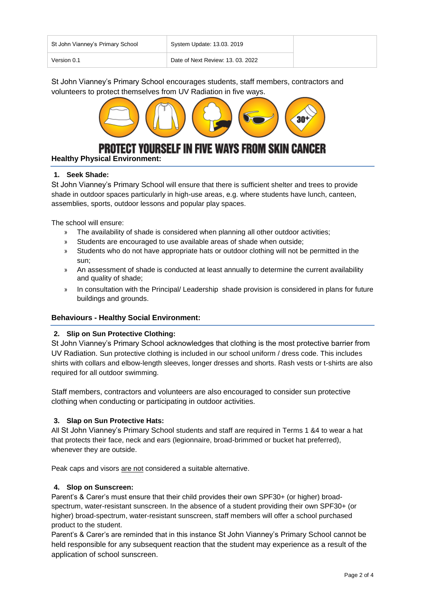| St John Vianney's Primary School | System Update: 13.03. 2019        |
|----------------------------------|-----------------------------------|
| Version 0.1                      | Date of Next Review: 13, 03, 2022 |

St John Vianney's Primary School encourages students, staff members, contractors and volunteers to protect themselves from UV Radiation in five ways.



**Yourself in five ways from Skin Cancer** 

# **Healthy Physical Environment:**

## **1. Seek Shade:**

St John Vianney's Primary School will ensure that there is sufficient shelter and trees to provide shade in outdoor spaces particularly in high-use areas, e.g. where students have lunch, canteen, assemblies, sports, outdoor lessons and popular play spaces.

The school will ensure:

- » The availability of shade is considered when planning all other outdoor activities;
- » Students are encouraged to use available areas of shade when outside;
- » Students who do not have appropriate hats or outdoor clothing will not be permitted in the sun;
- » An assessment of shade is conducted at least annually to determine the current availability and quality of shade;
- » In consultation with the Principal/ Leadership shade provision is considered in plans for future buildings and grounds.

## **Behaviours - Healthy Social Environment:**

#### **2. Slip on Sun Protective Clothing:**

St John Vianney's Primary School acknowledges that clothing is the most protective barrier from UV Radiation. Sun protective clothing is included in our school uniform / dress code. This includes shirts with collars and elbow-length sleeves, longer dresses and shorts. Rash vests or t-shirts are also required for all outdoor swimming.

Staff members, contractors and volunteers are also encouraged to consider sun protective clothing when conducting or participating in outdoor activities.

## **3. Slap on Sun Protective Hats:**

All St John Vianney's Primary School students and staff are required in Terms 1 &4 to wear a hat that protects their face, neck and ears (legionnaire, broad-brimmed or bucket hat preferred), whenever they are outside.

Peak caps and visors are not considered a suitable alternative.

## **4. Slop on Sunscreen:**

Parent's & Carer's must ensure that their child provides their own SPF30+ (or higher) broadspectrum, water-resistant sunscreen. In the absence of a student providing their own SPF30+ (or higher) broad-spectrum, water-resistant sunscreen, staff members will offer a school purchased product to the student.

Parent's & Carer's are reminded that in this instance St John Vianney's Primary School cannot be held responsible for any subsequent reaction that the student may experience as a result of the application of school sunscreen.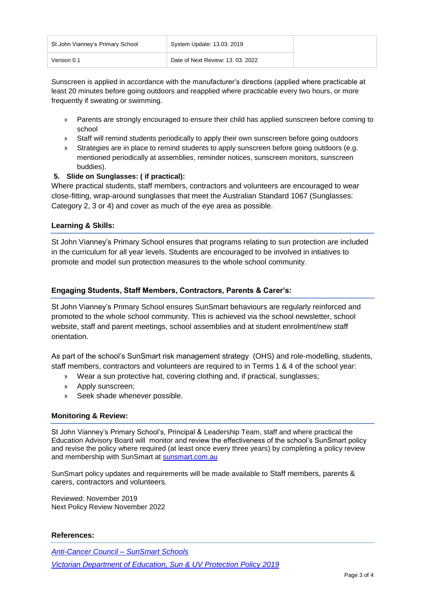| St John Vianney's Primary School | System Update: 13.03. 2019        |
|----------------------------------|-----------------------------------|
| Version 0.1                      | Date of Next Review: 13, 03, 2022 |

Sunscreen is applied in accordance with the manufacturer's directions (applied where practicable at least 20 minutes before going outdoors and reapplied where practicable every two hours, or more frequently if sweating or swimming.

- » Parents are strongly encouraged to ensure their child has applied sunscreen before coming to school
- » Staff will remind students periodically to apply their own sunscreen before going outdoors
- » Strategies are in place to remind students to apply sunscreen before going outdoors (e.g. mentioned periodically at assemblies, reminder notices, sunscreen monitors, sunscreen buddies).

# **5. Slide on Sunglasses: ( if practical):**

Where practical students, staff members, contractors and volunteers are encouraged to wear close-fitting, wrap-around sunglasses that meet the Australian Standard 1067 (Sunglasses: Category 2, 3 or 4) and cover as much of the eye area as possible.

# **Learning & Skills:**

St John Vianney's Primary School ensures that programs relating to sun protection are included in the curriculum for all year levels. Students are encouraged to be involved in intiatives to promote and model sun protection measures to the whole school community.

# **Engaging Students, Staff Members, Contractors, Parents & Carer's:**

St John Vianney's Primary School ensures SunSmart behaviours are regularly reinforced and promoted to the whole school community. This is achieved via the school newsletter, school website, staff and parent meetings, school assemblies and at student enrolment/new staff orientation.

As part of the school's SunSmart risk management strategy (OHS) and role-modelling, students, staff members, contractors and volunteers are required to in Terms 1 & 4 of the school year:

- » Wear a sun protective hat, covering clothing and, if practical, sunglasses;
- » Apply sunscreen;
- » Seek shade whenever possible.

## **Monitoring & Review:**

St John Vianney's Primary School's, Principal & Leadership Team, staff and where practical the Education Advisory Board will monitor and review the effectiveness of the school's SunSmart policy and revise the policy where required (at least once every three years) by completing a policy review and membership with SunSmart at [sunsmart.com.au](http://sunsmart.com.au/)

SunSmart policy updates and requirements will be made available to Staff members, parents & carers, contractors and volunteers.

Reviewed: November 2019 Next Policy Review November 2022

#### **References:**

*[Anti-Cancer Council –](https://www.cancer.org.au/preventing-cancer/sun-protection/sunsmart-schools/primary-school-resource.html) SunSmart Schools [Victorian Department of Education, Sun & UV Protection Policy 2019](https://www.education.vic.gov.au/school/principals/spag/health/Pages/sun.aspx)*